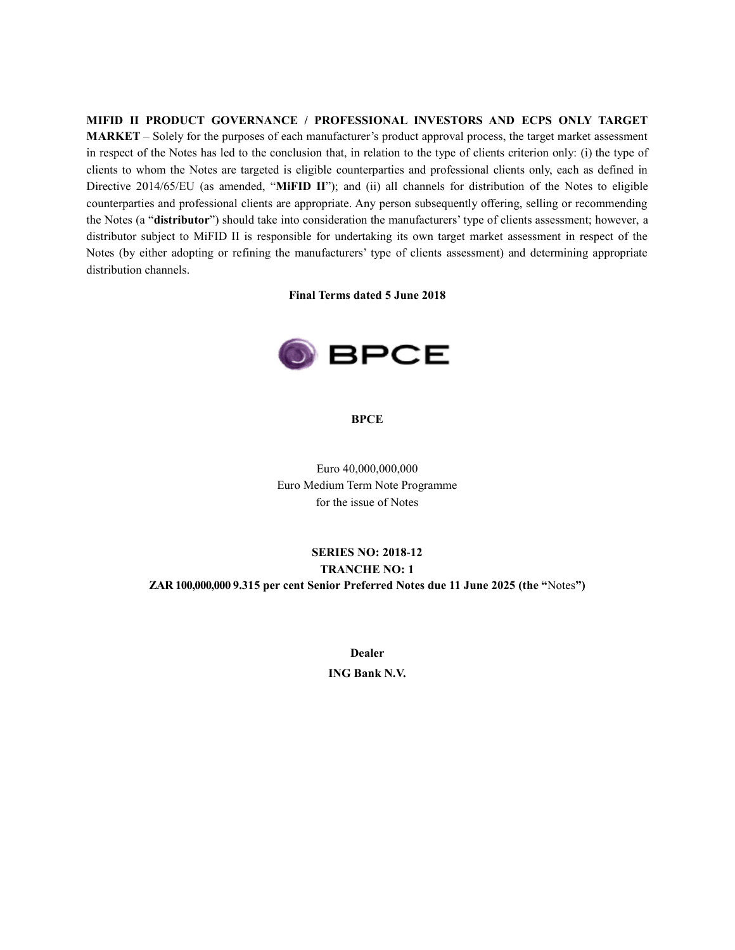# **MIFID II PRODUCT GOVERNANCE / PROFESSIONAL INVESTORS AND ECPS ONLY TARGET MARKET** – Solely for the purposes of each manufacturer's product approval process, the target market assessment in respect of the Notes has led to the conclusion that, in relation to the type of clients criterion only: (i) the type of clients to whom the Notes are targeted is eligible counterparties and professional clients only, each as defined in Directive 2014/65/EU (as amended, "**MiFID II**"); and (ii) all channels for distribution of the Notes to eligible counterparties and professional clients are appropriate. Any person subsequently offering, selling or recommending the Notes (a "**distributor**") should take into consideration the manufacturers' type of clients assessment; however, a distributor subject to MiFID II is responsible for undertaking its own target market assessment in respect of the Notes (by either adopting or refining the manufacturers' type of clients assessment) and determining appropriate distribution channels.

**Final Terms dated 5 June 2018**



**BPCE**

Euro 40,000,000,000 Euro Medium Term Note Programme for the issue of Notes

## **SERIES NO: 2018-12 TRANCHE NO: 1 ZAR 100,000,000 9.315 per cent Senior Preferred Notes due 11 June 2025 (the "**Notes**")**

**Dealer**

**ING Bank N.V.**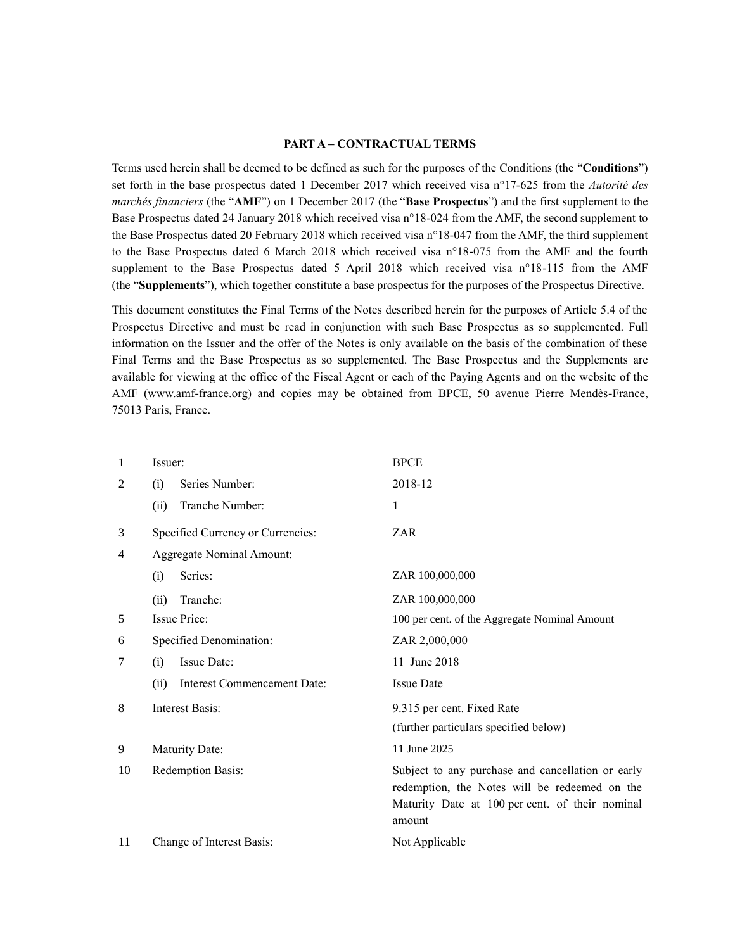#### **PART A – CONTRACTUAL TERMS**

Terms used herein shall be deemed to be defined as such for the purposes of the Conditions (the "**Conditions**") set forth in the base prospectus dated 1 December 2017 which received visa n°17-625 from the *Autorité des marchés financiers* (the "**AMF**") on 1 December 2017 (the "**Base Prospectus**") and the first supplement to the Base Prospectus dated 24 January 2018 which received visa n°18-024 from the AMF, the second supplement to the Base Prospectus dated 20 February 2018 which received visa n°18-047 from the AMF, the third supplement to the Base Prospectus dated 6 March 2018 which received visa n°18-075 from the AMF and the fourth supplement to the Base Prospectus dated 5 April 2018 which received visa n°18-115 from the AMF (the "**Supplements**"), which together constitute a base prospectus for the purposes of the Prospectus Directive.

This document constitutes the Final Terms of the Notes described herein for the purposes of Article 5.4 of the Prospectus Directive and must be read in conjunction with such Base Prospectus as so supplemented. Full information on the Issuer and the offer of the Notes is only available on the basis of the combination of these Final Terms and the Base Prospectus as so supplemented. The Base Prospectus and the Supplements are available for viewing at the office of the Fiscal Agent or each of the Paying Agents and on the website of the AMF (www.amf-france.org) and copies may be obtained from BPCE, 50 avenue Pierre Mendès-France, 75013 Paris, France.

| 1  | Issuer:                             | <b>BPCE</b>                                                                                                                                                     |  |  |
|----|-------------------------------------|-----------------------------------------------------------------------------------------------------------------------------------------------------------------|--|--|
| 2  | Series Number:<br>(i)               | 2018-12                                                                                                                                                         |  |  |
|    | Tranche Number:<br>(ii)             | 1                                                                                                                                                               |  |  |
| 3  | Specified Currency or Currencies:   | ZAR                                                                                                                                                             |  |  |
| 4  | <b>Aggregate Nominal Amount:</b>    |                                                                                                                                                                 |  |  |
|    | Series:<br>(i)                      | ZAR 100,000,000                                                                                                                                                 |  |  |
|    | Tranche:<br>(ii)                    | ZAR 100,000,000                                                                                                                                                 |  |  |
| 5  | Issue Price:                        | 100 per cent. of the Aggregate Nominal Amount                                                                                                                   |  |  |
| 6  | Specified Denomination:             | ZAR 2,000,000                                                                                                                                                   |  |  |
| 7  | Issue Date:<br>(i)                  | 11 June 2018                                                                                                                                                    |  |  |
|    | (ii)<br>Interest Commencement Date: | <b>Issue Date</b>                                                                                                                                               |  |  |
| 8  | <b>Interest Basis:</b>              | 9.315 per cent. Fixed Rate                                                                                                                                      |  |  |
|    |                                     | (further particulars specified below)                                                                                                                           |  |  |
| 9  | <b>Maturity Date:</b>               | 11 June 2025                                                                                                                                                    |  |  |
| 10 | Redemption Basis:                   | Subject to any purchase and cancellation or early<br>redemption, the Notes will be redeemed on the<br>Maturity Date at 100 per cent. of their nominal<br>amount |  |  |
| 11 | Change of Interest Basis:           | Not Applicable                                                                                                                                                  |  |  |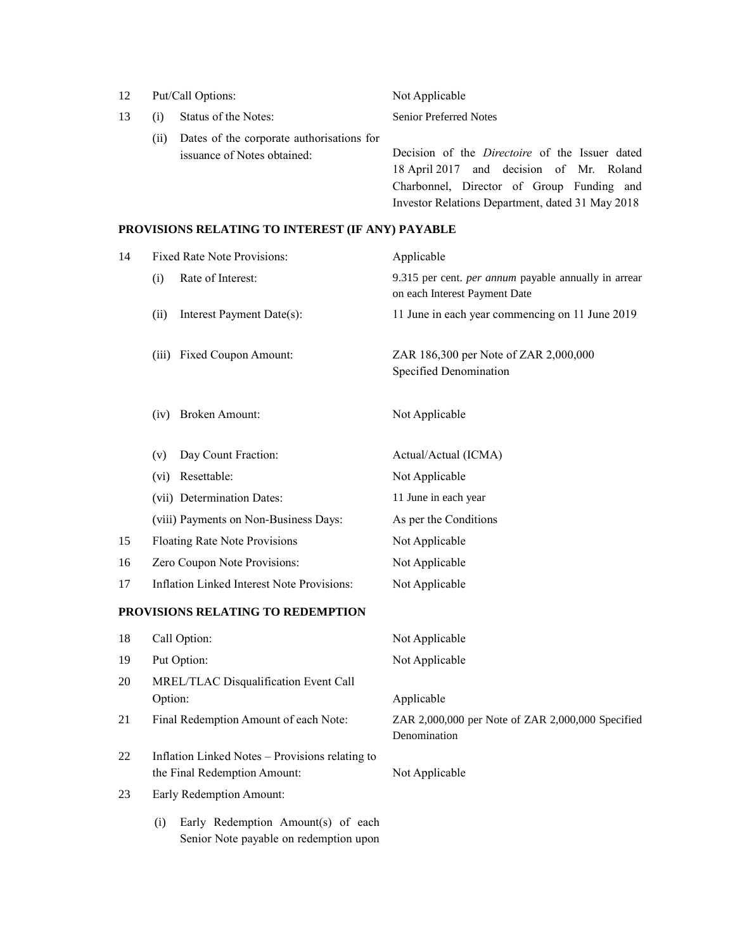| 12 |     | Put/Call Options:                                                        | Not Applicable                                                                                                                                                                                     |  |  |
|----|-----|--------------------------------------------------------------------------|----------------------------------------------------------------------------------------------------------------------------------------------------------------------------------------------------|--|--|
| 13 | (i) | Status of the Notes:                                                     | <b>Senior Preferred Notes</b>                                                                                                                                                                      |  |  |
|    | (i) | Dates of the corporate authorisations for<br>issuance of Notes obtained: | Decision of the <i>Directoire</i> of the Issuer dated<br>18 April 2017 and decision of Mr. Roland<br>Charbonnel, Director of Group Funding and<br>Investor Relations Department, dated 31 May 2018 |  |  |

# **PROVISIONS RELATING TO INTEREST (IF ANY) PAYABLE**

| 14 | <b>Fixed Rate Note Provisions:</b>                                                  | Applicable                                                                            |  |  |
|----|-------------------------------------------------------------------------------------|---------------------------------------------------------------------------------------|--|--|
|    | Rate of Interest:<br>(i)                                                            | 9.315 per cent. per annum payable annually in arrear<br>on each Interest Payment Date |  |  |
|    | Interest Payment Date(s):<br>(ii)                                                   | 11 June in each year commencing on 11 June 2019                                       |  |  |
|    | <b>Fixed Coupon Amount:</b><br>(iii)                                                | ZAR 186,300 per Note of ZAR 2,000,000<br>Specified Denomination                       |  |  |
|    | <b>Broken Amount:</b><br>(iv)                                                       | Not Applicable                                                                        |  |  |
|    | Day Count Fraction:<br>(v)                                                          | Actual/Actual (ICMA)                                                                  |  |  |
|    | Resettable:<br>(vi)                                                                 | Not Applicable                                                                        |  |  |
|    | (vii) Determination Dates:                                                          | 11 June in each year                                                                  |  |  |
|    | (viii) Payments on Non-Business Days:                                               | As per the Conditions                                                                 |  |  |
| 15 | <b>Floating Rate Note Provisions</b>                                                | Not Applicable                                                                        |  |  |
| 16 | Zero Coupon Note Provisions:                                                        | Not Applicable                                                                        |  |  |
| 17 | <b>Inflation Linked Interest Note Provisions:</b>                                   | Not Applicable                                                                        |  |  |
|    | PROVISIONS RELATING TO REDEMPTION                                                   |                                                                                       |  |  |
| 18 | Call Option:                                                                        | Not Applicable                                                                        |  |  |
| 19 | Put Option:                                                                         | Not Applicable                                                                        |  |  |
| 20 | MREL/TLAC Disqualification Event Call                                               |                                                                                       |  |  |
|    | Option:                                                                             | Applicable                                                                            |  |  |
| 21 | Final Redemption Amount of each Note:                                               | ZAR 2,000,000 per Note of ZAR 2,000,000 Specified<br>Denomination                     |  |  |
| 22 | Inflation Linked Notes - Provisions relating to<br>the Final Redemption Amount:     | Not Applicable                                                                        |  |  |
| 23 | Early Redemption Amount:                                                            |                                                                                       |  |  |
|    | Early Redemption Amount(s) of each<br>(i)<br>Senior Note payable on redemption upon |                                                                                       |  |  |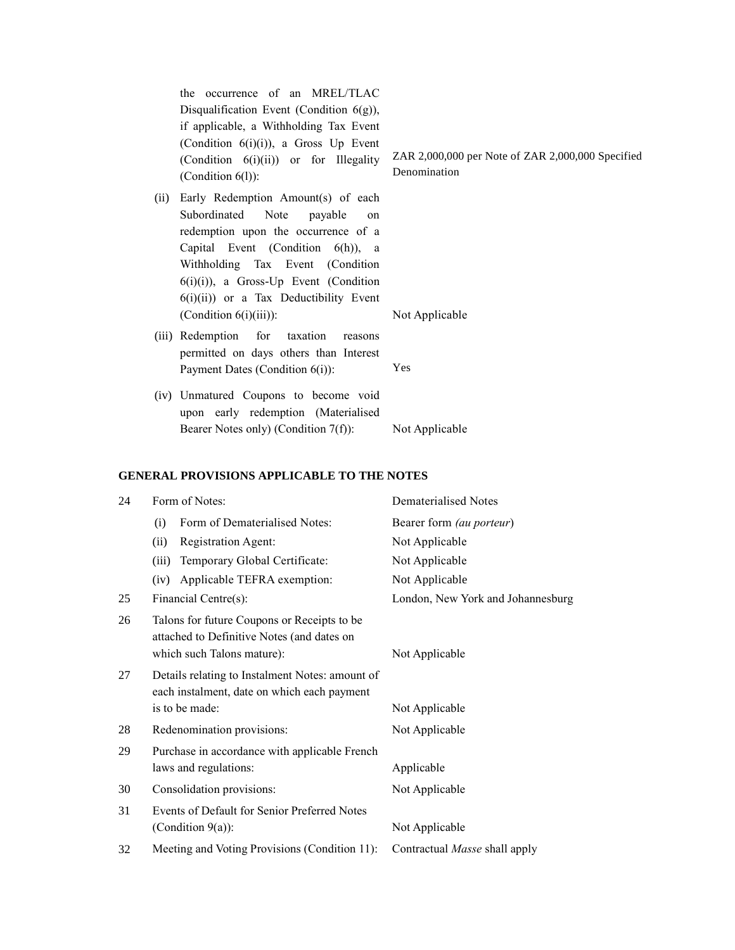the occurrence of an MREL/TLAC Disqualification Event (Condition 6(g)), if applicable, a Withholding Tax Event (Condition 6(i)(i)), a Gross Up Event (Condition 6(i)(ii)) or for Illegality (Condition 6(l)):

- (ii) Early Redemption Amount(s) of each Subordinated Note payable on redemption upon the occurrence of a Capital Event (Condition 6(h)), a Withholding Tax Event (Condition  $6(i)(i)$ ), a Gross-Up Event (Condition 6(i)(ii)) or a Tax Deductibility Event (Condition 6(i)(iii)): Not Applicable
- (iii) Redemption for taxation reasons permitted on days others than Interest Payment Dates (Condition 6(i)): Yes
- (iv) Unmatured Coupons to become void upon early redemption (Materialised Bearer Notes only) (Condition 7(f)): Not Applicable

#### **GENERAL PROVISIONS APPLICABLE TO THE NOTES**

| 24 |                                                                                                                         | Form of Notes:                                                       | Dematerialised Notes              |  |
|----|-------------------------------------------------------------------------------------------------------------------------|----------------------------------------------------------------------|-----------------------------------|--|
|    | (i)                                                                                                                     | Form of Dematerialised Notes:                                        | Bearer form (au porteur)          |  |
|    | (ii)                                                                                                                    | Registration Agent:                                                  | Not Applicable                    |  |
|    | (iii)                                                                                                                   | Temporary Global Certificate:                                        | Not Applicable                    |  |
|    | (iv)                                                                                                                    | Applicable TEFRA exemption:                                          | Not Applicable                    |  |
| 25 | Financial Centre(s):                                                                                                    |                                                                      | London, New York and Johannesburg |  |
| 26 | Talons for future Coupons or Receipts to be<br>attached to Definitive Notes (and dates on<br>which such Talons mature): |                                                                      | Not Applicable                    |  |
| 27 | Details relating to Instalment Notes: amount of<br>each instalment, date on which each payment<br>is to be made:        |                                                                      | Not Applicable                    |  |
| 28 |                                                                                                                         | Redenomination provisions:                                           | Not Applicable                    |  |
| 29 | Purchase in accordance with applicable French<br>laws and regulations:                                                  |                                                                      | Applicable                        |  |
| 30 |                                                                                                                         | Consolidation provisions:                                            | Not Applicable                    |  |
| 31 |                                                                                                                         | Events of Default for Senior Preferred Notes<br>(Condition $9(a)$ ): | Not Applicable                    |  |
| 32 |                                                                                                                         | Meeting and Voting Provisions (Condition 11):                        | Contractual Masse shall apply     |  |

ZAR 2,000,000 per Note of ZAR 2,000,000 Specified Denomination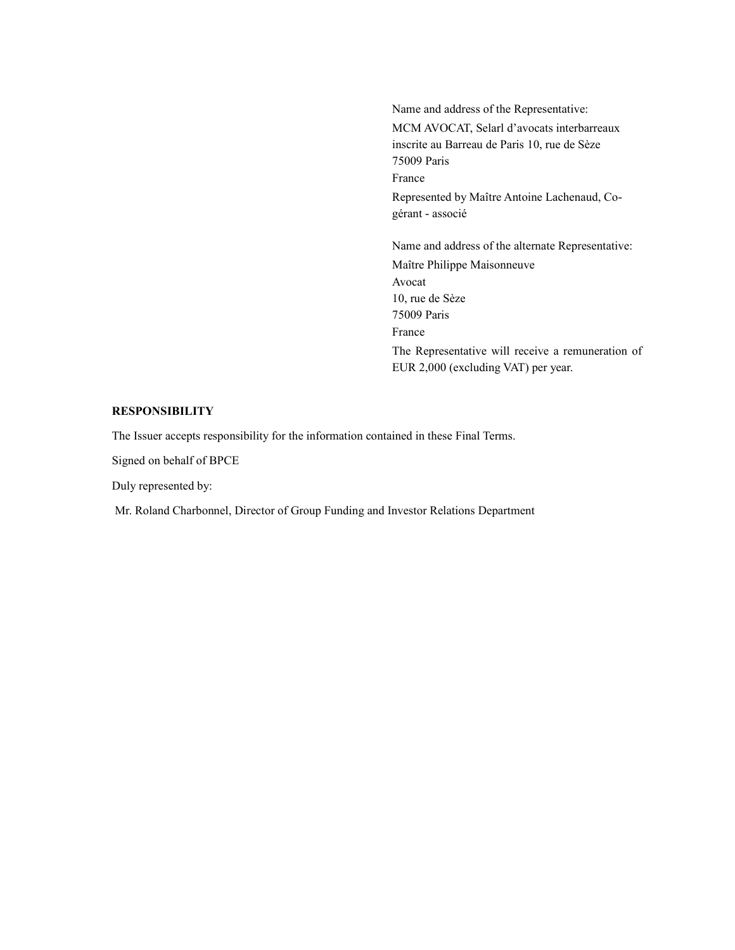Name and address of the Representative: MCM AVOCAT, Selarl d'avocats interbarreaux inscrite au Barreau de Paris 10, rue de Sèze 75009 Paris France Represented by Maître Antoine Lachenaud, Cogérant - associé Name and address of the alternate Representative:

Maître Philippe Maisonneuve Avocat 10, rue de Sèze 75009 Paris France The Representative will receive a remuneration of EUR 2,000 (excluding VAT) per year.

### **RESPONSIBILITY**

The Issuer accepts responsibility for the information contained in these Final Terms.

Signed on behalf of BPCE

Duly represented by:

Mr. Roland Charbonnel, Director of Group Funding and Investor Relations Department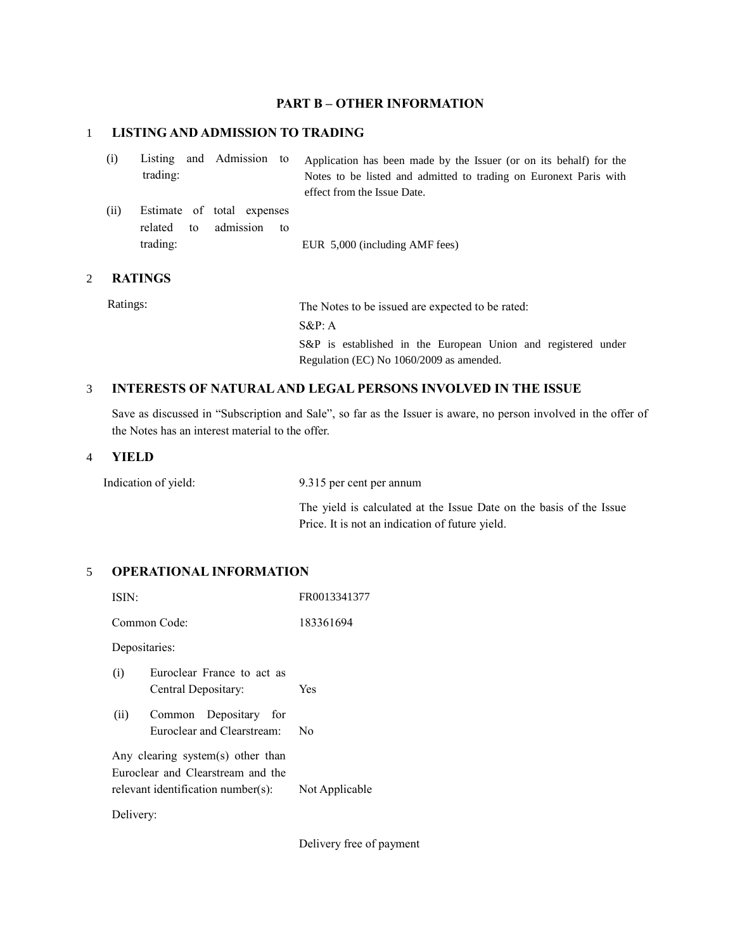### **PART B – OTHER INFORMATION**

## 1 **LISTING AND ADMISSION TO TRADING**

| (i)  | trading:            |    | Listing and Admission to                |    | Application has been made by the Issuer (or on its behalf) for the<br>Notes to be listed and admitted to trading on Euronext Paris with<br>effect from the Issue Date. |
|------|---------------------|----|-----------------------------------------|----|------------------------------------------------------------------------------------------------------------------------------------------------------------------------|
| (ii) | related<br>trading: | to | Estimate of total expenses<br>admission | to | EUR 5,000 (including AMF fees)                                                                                                                                         |

## 2 **RATINGS**

Ratings: The Notes to be issued are expected to be rated: S&P: A S&P is established in the European Union and registered under Regulation (EC) No 1060/2009 as amended.

## 3 **INTERESTS OF NATURAL AND LEGAL PERSONS INVOLVED IN THE ISSUE**

Save as discussed in "Subscription and Sale", so far as the Issuer is aware, no person involved in the offer of the Notes has an interest material to the offer.

#### 4 **YIELD**

Indication of yield: 9.315 per cent per annum

The yield is calculated at the Issue Date on the basis of the Issue Price. It is not an indication of future yield.

## 5 **OPERATIONAL INFORMATION**

| ISIN:                                                                                                                          |                                                     | FR0013341377 |  |  |  |
|--------------------------------------------------------------------------------------------------------------------------------|-----------------------------------------------------|--------------|--|--|--|
|                                                                                                                                | Common Code:                                        | 183361694    |  |  |  |
| Depositaries:                                                                                                                  |                                                     |              |  |  |  |
| (i)                                                                                                                            | Euroclear France to act as<br>Central Depositary:   | Yes          |  |  |  |
| (ii)                                                                                                                           | Common Depositary for<br>Euroclear and Clearstream: | No           |  |  |  |
| Any clearing system(s) other than<br>Euroclear and Clearstream and the<br>relevant identification number(s):<br>Not Applicable |                                                     |              |  |  |  |
| Delivery:                                                                                                                      |                                                     |              |  |  |  |

Delivery free of payment